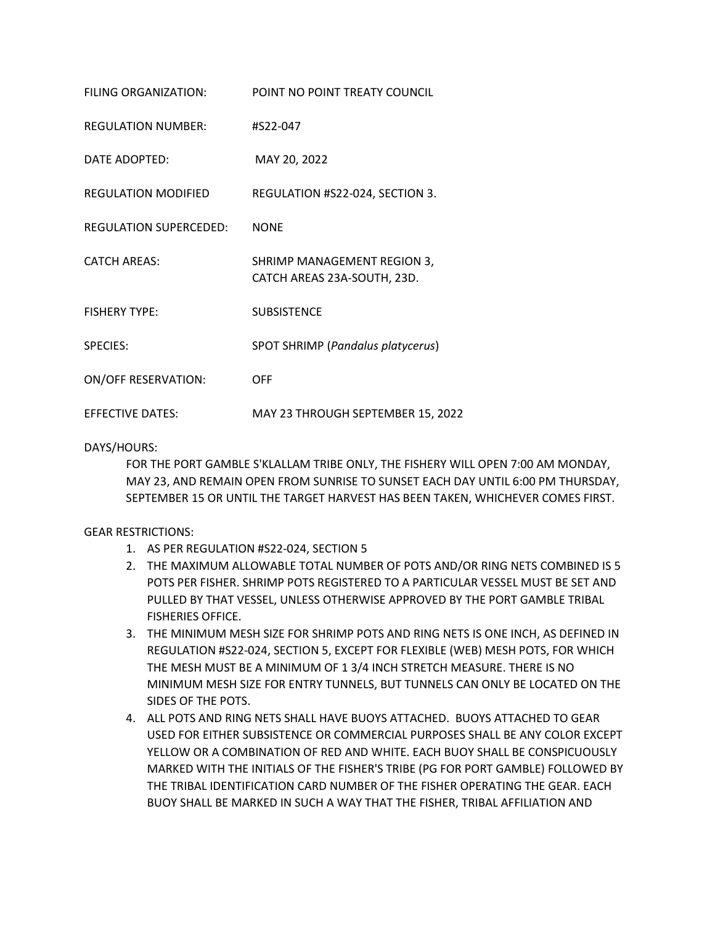| FILING ORGANIZATION:          | POINT NO POINT TREATY COUNCIL                              |
|-------------------------------|------------------------------------------------------------|
| <b>REGULATION NUMBER:</b>     | #S22-047                                                   |
| DATE ADOPTED:                 | MAY 20, 2022                                               |
| <b>REGULATION MODIFIED</b>    | REGULATION #S22-024, SECTION 3.                            |
| <b>REGULATION SUPERCEDED:</b> | <b>NONE</b>                                                |
| <b>CATCH AREAS:</b>           | SHRIMP MANAGEMENT REGION 3,<br>CATCH AREAS 23A-SOUTH, 23D. |
| <b>FISHERY TYPE:</b>          | <b>SUBSISTENCE</b>                                         |
| <b>SPECIES:</b>               | SPOT SHRIMP (Pandalus platycerus)                          |
| <b>ON/OFF RESERVATION:</b>    | <b>OFF</b>                                                 |
| <b>EFFECTIVE DATES:</b>       | MAY 23 THROUGH SEPTEMBER 15, 2022                          |

## DAYS/HOURS:

FOR THE PORT GAMBLE S'KLALLAM TRIBE ONLY, THE FISHERY WILL OPEN 7:00 AM MONDAY, MAY 23, AND REMAIN OPEN FROM SUNRISE TO SUNSET EACH DAY UNTIL 6:00 PM THURSDAY, SEPTEMBER 15 OR UNTIL THE TARGET HARVEST HAS BEEN TAKEN, WHICHEVER COMES FIRST.

## GEAR RESTRICTIONS:

- 1. AS PER REGULATION #S22-024, SECTION 5
- 2. THE MAXIMUM ALLOWABLE TOTAL NUMBER OF POTS AND/OR RING NETS COMBINED IS 5 POTS PER FISHER. SHRIMP POTS REGISTERED TO A PARTICULAR VESSEL MUST BE SET AND PULLED BY THAT VESSEL, UNLESS OTHERWISE APPROVED BY THE PORT GAMBLE TRIBAL FISHERIES OFFICE.
- 3. THE MINIMUM MESH SIZE FOR SHRIMP POTS AND RING NETS IS ONE INCH, AS DEFINED IN REGULATION #S22-024, SECTION 5, EXCEPT FOR FLEXIBLE (WEB) MESH POTS, FOR WHICH THE MESH MUST BE A MINIMUM OF 1 3/4 INCH STRETCH MEASURE. THERE IS NO MINIMUM MESH SIZE FOR ENTRY TUNNELS, BUT TUNNELS CAN ONLY BE LOCATED ON THE SIDES OF THE POTS.
- 4. ALL POTS AND RING NETS SHALL HAVE BUOYS ATTACHED. BUOYS ATTACHED TO GEAR USED FOR EITHER SUBSISTENCE OR COMMERCIAL PURPOSES SHALL BE ANY COLOR EXCEPT YELLOW OR A COMBINATION OF RED AND WHITE. EACH BUOY SHALL BE CONSPICUOUSLY MARKED WITH THE INITIALS OF THE FISHER'S TRIBE (PG FOR PORT GAMBLE) FOLLOWED BY THE TRIBAL IDENTIFICATION CARD NUMBER OF THE FISHER OPERATING THE GEAR. EACH BUOY SHALL BE MARKED IN SUCH A WAY THAT THE FISHER, TRIBAL AFFILIATION AND